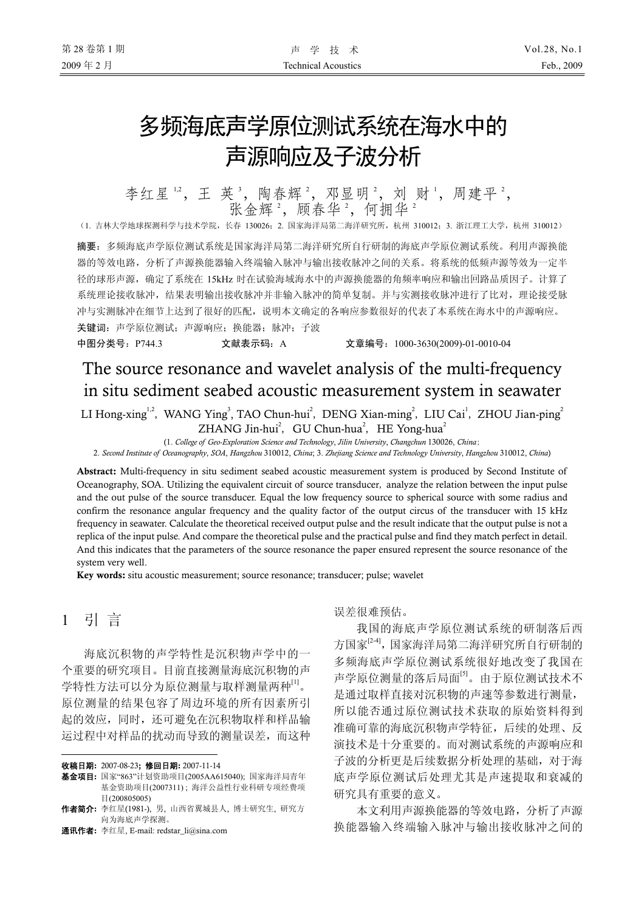# 多频海底声学原位测试系统在海水中的 声源响应及子波分析

李红星12,王英3,陶春辉2,邓显明2,刘财1,周建平2, 张金辉2, 顾春华2, 何拥华2

(1. 吉林大学地球探测科学与技术学院,长春 130026;2. 国家海洋局第二海洋研究所,杭州 310012;3. 浙江理工大学,杭州 310012)

摘要:多频海底声学原位测试系统是国家海洋局第二海洋研究所自行研制的海底声学原位测试系统。利用声源换能 器的等效电路,分析了声源换能器输入终端输入脉冲与输出接收脉冲之间的关系。将系统的低频声源等效为一定半 径的球形声源,确定了系统在 15kHz 时在试验海域海水中的声源换能器的角频率响应和输出回路品质因子。计算了 系统理论接收脉冲,结果表明输出接收脉冲并非输入脉冲的简单复制。并与实测接收脉冲进行了比对,理论接受脉 冲与实测脉冲在细节上达到了很好的匹配,说明本文确定的各响应参数很好的代表了本系统在海水中的声源响应。 关键词:声学原位测试;声源响应;换能器;脉冲;子波

中图分类号:P744.3 文献表示码:A 文章编号:1000-3630(2009)-01-0010-04

# The source resonance and wavelet analysis of the multi-frequency in situ sediment seabed acoustic measurement system in seawater

LI Hong-xing<sup>1,2</sup>, WANG Ying<sup>3</sup>, TAO Chun-hui<sup>2</sup>, DENG Xian-ming<sup>2</sup>, LIU Cai<sup>1</sup>, ZHOU Jian-ping<sup>2</sup> ZHANG Jin-hui<sup>2</sup>, GU Chun-hua<sup>2</sup>, HE Yong-hua<sup>2</sup>

(1. *College of Geo-Exploration Science and Technology*, *Jilin University*, *Changchun* 130026, *China*;

2. *Second Institute of Oceanography*, *SOA*, *Hangzhou* 310012, *China*; 3. *Zhejiang Science and Technology University*, *Hangzhou* 310012, *China*)

Abstract: Multi-frequency in situ sediment seabed acoustic measurement system is produced by Second Institute of Oceanography, SOA. Utilizing the equivalent circuit of source transducer, analyze the relation between the input pulse and the out pulse of the source transducer. Equal the low frequency source to spherical source with some radius and confirm the resonance angular frequency and the quality factor of the output circus of the transducer with 15 kHz frequency in seawater. Calculate the theoretical received output pulse and the result indicate that the output pulse is not a replica of the input pulse. And compare the theoretical pulse and the practical pulse and find they match perfect in detail. And this indicates that the parameters of the source resonance the paper ensured represent the source resonance of the system very well.

Key words: situ acoustic measurement; source resonance; transducer; pulse; wavelet

# 1 引 言

 $\overline{a}$ 

海底沉积物的声学特性是沉积物声学中的一 个重要的研究项目。目前直接测量海底沉积物的声 学特性方法可以分为原位测量与取样测量两种<sup>[1]</sup>。 原位测量的结果包容了周边环境的所有因素所引 起的效应,同时,还可避免在沉积物取样和样品输 运过程中对样品的扰动而导致的测量误差,而这种

收稿日期: 2007-08-23; 修回日期: 2007-11-14

误差很难预估。

我国的海底声学原位测试系统的研制落后西 方国家<sup>[2-4]</sup>,国家海洋局第二海洋研究所自行研制的 多频海底声学原位测试系统很好地改变了我国在 声学原位测量的落后局面[5]。由于原位测试技术不 是通过取样直接对沉积物的声速等参数进行测量, 所以能否通过原位测试技术获取的原始资料得到 准确可靠的海底沉积物声学特征,后续的处理、反 演技术是十分重要的。而对测试系统的声源响应和 子波的分析更是后续数据分析处理的基础,对于海 底声学原位测试后处理尤其是声速提取和衰减的 研究具有重要的意义。

本文利用声源换能器的等效电路,分析了声源 换能器输入终端输入脉冲与输出接收脉冲之间的

基金项目: 国家"863"计划资助项目(2005AA615040); 国家海洋局青年 基金资助项目(2007311) ; 海洋公益性行业科研专项经费项 目(200805005)

作者简介: 李红星(1981-), 男, 山西省翼城县人, 博士研究生, 研究方 向为海底声学探测。

通讯作者: 李红星, E-mail: redstar\_li@sina.com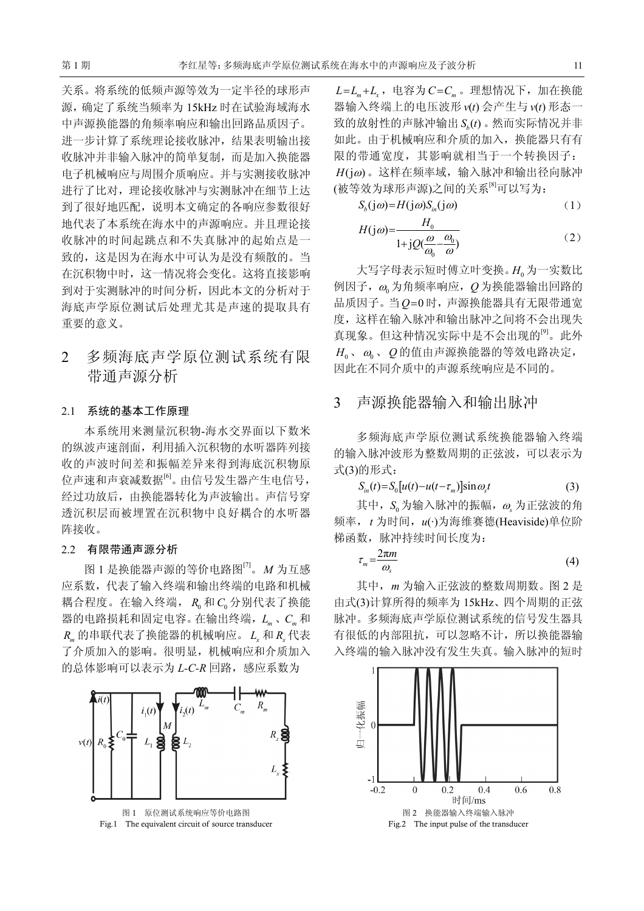关系。将系统的低频声源等效为一定半径的球形声 源,确定了系统当频率为 15kHz 时在试验海域海水 中声源换能器的角频率响应和输出回路品质因子。 进一步计算了系统理论接收脉冲,结果表明输出接 收脉冲并非输入脉冲的简单复制,而是加入换能器 电子机械响应与周围介质响应。并与实测接收脉冲 进行了比对,理论接收脉冲与实测脉冲在细节上达 到了很好地匹配,说明本文确定的各响应参数很好 地代表了本系统在海水中的声源响应。并且理论接 收脉冲的时间起跳点和不失真脉冲的起始点是一 致的,这是因为在海水中可认为是没有频散的。当 在沉积物中时,这一情况将会变化。这将直接影响 到对于实测脉冲的时间分析,因此本文的分析对于 海底声学原位测试后处理尤其是声速的提取具有 重要的意义。

## 2 多频海底声学原位测试系统有限 带通声源分析

#### 2.1 系统的基本工作原理

本系统用来测量沉积物-海水交界面以下数米 的纵波声速剖面,利用插入沉积物的水听器阵列接 收的声波时间差和振幅差异来得到海底沉积物原 位声速和声衰减数据[6]。由信号发生器产生电信号, 经过功放后,由换能器转化为声波输出。声信号穿 透沉积层而被埋置在沉积物中良好耦合的水听器 阵接收。

#### 2.2 有限带通声源分析

图 1 是换能器声源的等价电路图[7] 。*M* 为互感 应系数,代表了输入终端和输出终端的电路和机械 耦合程度。在输入终端, R<sub>0</sub> 和 C<sub>0</sub> 分别代表了换能 器的电路损耗和固定电容。在输出终端,*Lm* 、*Cm* 和  $R_m$ 的串联代表了换能器的机械响应。 *L*, 和 *R*, 代表 了介质加入的影响。很明显,机械响应和介质加入 的总体影响可以表示为 L-C-R 回路,感应系数为



Fig.1 The equivalent circuit of source transducer

 $L = L_m + L_r$ , 电容为*C*=C<sub>m</sub>。理想情况下, 加在换能 器输入终端上的电压波形  $v(t)$  会产生与  $v(t)$  形态一 致的放射性的声脉冲输出  $S_{\alpha}(t)$ 。然而实际情况并非 如此。由于机械响应和介质的加入,换能器只有有 限的带通宽度,其影响就相当于一个转换因子:  $H(i\omega)$ 。这样在频率域,输入脉冲和输出径向脉冲 (被等效为球形声源)之间的关系[8]可以写为:

$$
S_b(j\omega) = H(j\omega)S_{in}(j\omega) \tag{1}
$$

$$
H(j\omega) = \frac{H_0}{1 + jQ(\frac{\omega}{\omega_0} - \frac{\omega_0}{\omega})}
$$
 (2)

大写字母表示短时傅立叶变换。H<sub>0</sub>为一实数比 例因子,<sup>ω</sup><sup>0</sup> 为角频率响应,*Q* 为换能器输出回路的 品质因子。当*Q*=0 时,声源换能器具有无限带通宽 度,这样在输入脉冲和输出脉冲之间将不会出现失 真现象。但这种情况实际中是不会出现的[9]。此外  $H_0$ 、ω。 O的值由声源换能器的等效电路决定, 因此在不同介质中的声源系统响应是不同的。

## 3 声源换能器输入和输出脉冲

多频海底声学原位测试系统换能器输入终端 的输入脉冲波形为整数周期的正弦波,可以表示为 式(3)的形式:

$$
S_{in}(t) = S_0[u(t) - u(t - \tau_m)]\sin\omega_s t \tag{3}
$$

其中, S<sub>o</sub> 为输入脉冲的振幅, ω 为正弦波的角 频率,*t* 为时间,*u*(·)为海维赛德(Heaviside)单位阶 梯函数,脉冲持续时间长度为:

$$
\tau_m = \frac{2\pi m}{\omega_s} \tag{4}
$$

其中,*m* 为输入正弦波的整数周期数。图 2 是 由式(3)计算所得的频率为 15kHz、四个周期的正弦 脉冲。多频海底声学原位测试系统的信号发生器具 有很低的内部阻抗,可以忽略不计,所以换能器输 入终端的输入脉冲没有发生失真。输入脉冲的短时

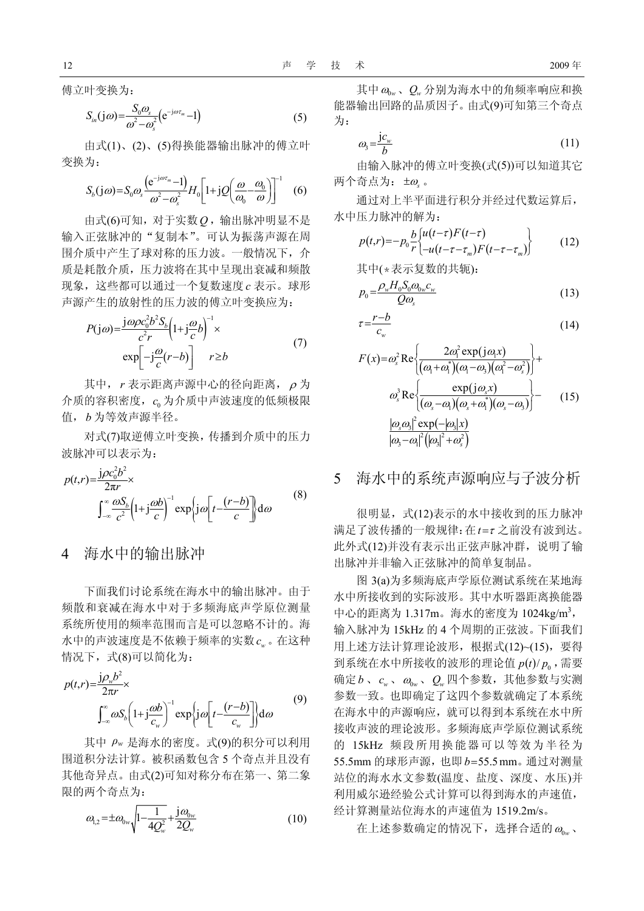傅立叶变换为:

$$
S_{in}(j\omega) = \frac{S_0 \omega_s}{\omega^2 - \omega_s^2} (e^{-j\omega \tau_m} - 1)
$$
 (5)

由式(1)、(2)、(5)得换能器输出脉冲的傅立叶 变换为:

$$
S_b(j\omega) = S_0 \omega_s \frac{\left(e^{-j\omega \tau_m} - 1\right)}{\omega^2 - \omega_s^2} H_0 \left[1 + j\mathcal{Q}\left(\frac{\omega}{\omega_0} - \frac{\omega_0}{\omega}\right)\right]^{-1} \quad (6)
$$

由式(6)可知,对于实数*Q* ,输出脉冲明显不是 输入正弦脉冲的"复制本"。可认为振荡声源在周 围介质中产生了球对称的压力波。一般情况下,介 质是耗散介质,压力波将在其中呈现出衰减和频散 现象,这些都可以通过一个复数速度 *c* 表示。球形 声源产生的放射性的压力波的傅立叶变换应为:

$$
P(j\omega) = \frac{j\omega\rho c_0^2 b^2 S_b}{c^2 r} \left(1 + j\frac{\omega}{c}b\right)^{-1} \times
$$
  
 
$$
\exp\left[-j\frac{\omega}{c}(r-b)\right] \qquad r \ge b \tag{7}
$$

其中, *r* 表示距离声源中心的径向距离, <sup>ρ</sup> 为 介质的容积密度, <sup>0</sup> *c* 为介质中声波速度的低频极限 值,*b* 为等效声源半径。

对式(7)取逆傅立叶变换,传播到介质中的压力 波脉冲可以表示为:

$$
p(t,r) = \frac{j\rho c_0^2 b^2}{2\pi r} \times \int_{-\infty}^{\infty} \frac{\omega S_b}{c^2} \left(1 + j\frac{\omega b}{c}\right)^{-1} \exp\left\{j\omega \left[t - \frac{(r-b)}{c}\right]\right\} d\omega \tag{8}
$$

## 4 海水中的输出脉冲

下面我们讨论系统在海水中的输出脉冲。由于 频散和衰减在海水中对于多频海底声学原位测量 系统所使用的频率范围而言是可以忽略不计的。海 水中的声波速度是不依赖于频率的实数 *wc* 。在这种 情况下,式(8)可以简化为:

$$
p(t,r) = \frac{j\rho_w b^2}{2\pi r} \times \int_{-\infty}^{\infty} \omega S_b \left(1 + j\frac{\omega b}{c_w}\right)^{-1} \exp\left\{j\omega \left[t - \frac{(r-b)}{c_w}\right]\right\} d\omega \tag{9}
$$

其中 *ρ<sup>w</sup>* 是海水的密度。式(9)的积分可以利用 围道积分法计算。被积函数包含 5 个奇点并且没有 其他奇异点。由式(2)可知对称分布在第一、第二象 限的两个奇点为:

$$
\omega_{1,2} = \pm \omega_{0w} \sqrt{1 - \frac{1}{4Q_w^2}} + \frac{j\omega_{0w}}{2Q_w} \tag{10}
$$

$$
\omega_3 = \frac{j c_w}{b} \tag{11}
$$

由输入脉冲的傅立叶变换(式(5))可以知道其它 两个奇点为: ±<sup>ω</sup>*<sup>s</sup>* 。

通过对上半平面进行积分并经过代数运算后, 水中压力脉冲的解为:

$$
p(t,r) = -p_0 \frac{b}{r} \left\{ \frac{u(t-\tau)F(t-\tau)}{-u(t-\tau-\tau_m)F(t-\tau-\tau_m)} \right\} \tag{12}
$$

其中(\*表示复数的共轭):

$$
p_0 = \frac{\rho_w H_0 S_0 \omega_{0w} c_w}{Q \omega_s} \tag{13}
$$

$$
\tau = \frac{r - b}{c_w} \tag{14}
$$

$$
F(x) = \omega_s^2 \operatorname{Re} \left\{ \frac{2\omega_i^2 \exp(j\omega_i x)}{(\omega_i + \omega_i^*)(\omega_i - \omega_s)(\omega_i^2 - \omega_s^2)} \right\} + \omega_s^3 \operatorname{Re} \left\{ \frac{\exp(j\omega_s x)}{(\omega_s - \omega_i)(\omega_s + \omega_i^*)(\omega_s - \omega_s)} \right\} - \omega_s^3 \left\{ \frac{|\omega_s \omega_s|^2 \exp(-|\omega_s| x)}{|\omega_s - \omega_i|^2 (|\omega_s|^2 + \omega_s^2)} \right\} \tag{15}
$$

#### 5 海水中的系统声源响应与子波分析

很明显,式(12)表示的水中接收到的压力脉冲 满足了波传播的一般规律:在*t* =<sup>τ</sup> 之前没有波到达。 此外式(12)并没有表示出正弦声脉冲群,说明了输 出脉冲并非输入正弦脉冲的简单复制品。

图 3(a)为多频海底声学原位测试系统在某地海 水中所接收到的实际波形。其中水听器距离换能器 中心的距离为 1.317m。海水的密度为 1024kg/m3, 输入脉冲为 15kHz 的 4 个周期的正弦波。下面我们 用上述方法计算理论波形,根据式(12)~(15),要得 到系统在水中所接收的波形的理论值  $p(t)/p_0$ , 需要 确定*b、c<sub>w</sub>、ω*<sub>0w</sub>、 Q<sub>w</sub> 四个参数, 其他参数与实测 参数一致。也即确定了这四个参数就确定了本系统 在海水中的声源响应,就可以得到本系统在水中所 接收声波的理论波形。多频海底声学原位测试系统 的 15kHz 频段所用换能器可以等效为半径为 55.5mm 的球形声源,也即*b*=55.5mm。通过对测量 站位的海水水文参数(温度、盐度、深度、水压)并 利用威尔逊经验公式计算可以得到海水的声速值, 经计算测量站位海水的声速值为 1519.2m/s。

在上述参数确定的情况下,选择合适的  $\omega_{\text{max}}$